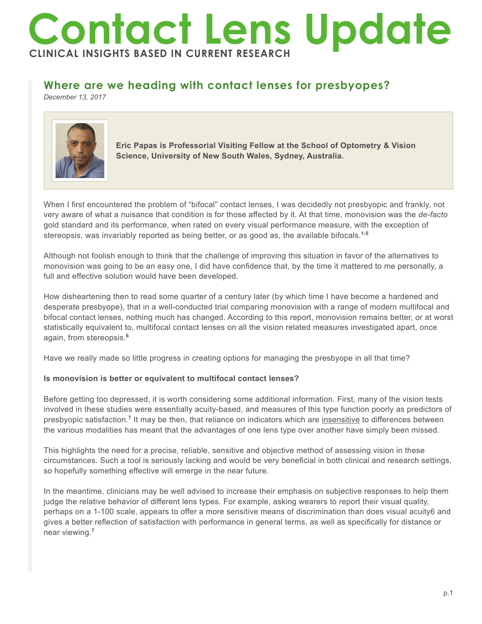# **Contact Lens Update CLINICAL INSIGHTS BASED IN CURRENT RESEARCH**

# **Where are we heading with contact lenses for presbyopes?**

*December 13, 2017*



**Eric Papas is Professorial Visiting Fellow at the School of Optometry & Vision Science, University of New South Wales, Sydney, Australia.**

When I first encountered the problem of "bifocal" contact lenses, I was decidedly not presbyopic and frankly, not very aware of what a nuisance that condition is for those affected by it. At that time, monovision was the *de-facto* gold standard and its performance, when rated on every visual performance measure, with the exception of stereopsis, was invariably reported as being better, or as good as, the available bifocals.**1-5**

Although not foolish enough to think that the challenge of improving this situation in favor of the alternatives to monovision was going to be an easy one, I did have confidence that, by the time it mattered to me personally, a full and effective solution would have been developed.

How disheartening then to read some quarter of a century later (by which time I have become a hardened and desperate presbyope), that in a well-conducted trial comparing monovision with a range of modern multifocal and bifocal contact lenses, nothing much has changed. According to this report, monovision remains better, or at worst statistically equivalent to, multifocal contact lenses on all the vision related measures investigated apart, once again, from stereopsis.**<sup>6</sup>**

Have we really made so little progress in creating options for managing the presbyope in all that time?

# **Is monovision is better or equivalent to multifocal contact lenses?**

Before getting too depressed, it is worth considering some additional information. First, many of the vision tests involved in these studies were essentially acuity-based, and measures of this type function poorly as predictors of presbyopic satisfaction.<sup>7</sup> It may be then, that reliance on indicators which are insensitive to differences between the various modalities has meant that the advantages of one lens type over another have simply been missed.

This highlights the need for a precise, reliable, sensitive and objective method of assessing vision in these circumstances. Such a tool is seriously lacking and would be very beneficial in both clinical and research settings, so hopefully something effective will emerge in the near future.

In the meantime, clinicians may be well advised to increase their emphasis on subjective responses to help them judge the relative behavior of different lens types. For example, asking wearers to report their visual quality, perhaps on a 1-100 scale, appears to offer a more sensitive means of discrimination than does visual acuity6 and gives a better reflection of satisfaction with performance in general terms, as well as specifically for distance or near viewing.**<sup>7</sup>**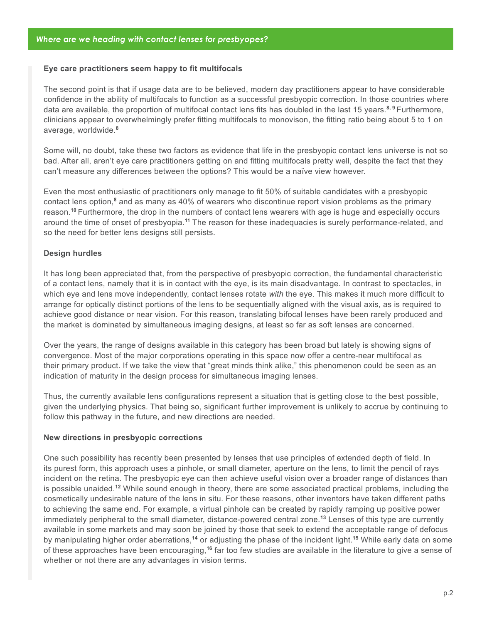# **Eye care practitioners seem happy to fit multifocals**

The second point is that if usage data are to be believed, modern day practitioners appear to have considerable confidence in the ability of multifocals to function as a successful presbyopic correction. In those countries where data are available, the proportion of multifocal contact lens fits has doubled in the last 15 years.**8, 9** Furthermore, clinicians appear to overwhelmingly prefer fitting multifocals to monovison, the fitting ratio being about 5 to 1 on average, worldwide.**<sup>8</sup>**

Some will, no doubt, take these two factors as evidence that life in the presbyopic contact lens universe is not so bad. After all, aren't eye care practitioners getting on and fitting multifocals pretty well, despite the fact that they can't measure any differences between the options? This would be a naïve view however.

Even the most enthusiastic of practitioners only manage to fit 50% of suitable candidates with a presbyopic contact lens option,<sup>8</sup> and as many as 40% of wearers who discontinue report vision problems as the primary reason.**<sup>10</sup>**Furthermore, the drop in the numbers of contact lens wearers with age is huge and especially occurs around the time of onset of presbyopia.**<sup>11</sup>** The reason for these inadequacies is surely performance-related, and so the need for better lens designs still persists.

# **Design hurdles**

It has long been appreciated that, from the perspective of presbyopic correction, the fundamental characteristic of a contact lens, namely that it is in contact with the eye, is its main disadvantage. In contrast to spectacles, in which eye and lens move independently, contact lenses rotate *with* the eye. This makes it much more difficult to arrange for optically distinct portions of the lens to be sequentially aligned with the visual axis, as is required to achieve good distance or near vision. For this reason, translating bifocal lenses have been rarely produced and the market is dominated by simultaneous imaging designs, at least so far as soft lenses are concerned.

Over the years, the range of designs available in this category has been broad but lately is showing signs of convergence. Most of the major corporations operating in this space now offer a centre-near multifocal as their primary product. If we take the view that "great minds think alike," this phenomenon could be seen as an indication of maturity in the design process for simultaneous imaging lenses.

Thus, the currently available lens configurations represent a situation that is getting close to the best possible, given the underlying physics. That being so, significant further improvement is unlikely to accrue by continuing to follow this pathway in the future, and new directions are needed.

### **New directions in presbyopic corrections**

One such possibility has recently been presented by lenses that use principles of extended depth of field. In its purest form, this approach uses a pinhole, or small diameter, aperture on the lens, to limit the pencil of rays incident on the retina. The presbyopic eye can then achieve useful vision over a broader range of distances than is possible unaided.**<sup>12</sup>** While sound enough in theory, there are some associated practical problems, including the cosmetically undesirable nature of the lens in situ. For these reasons, other inventors have taken different paths to achieving the same end. For example, a virtual pinhole can be created by rapidly ramping up positive power immediately peripheral to the small diameter, distance-powered central zone.**<sup>13</sup>** Lenses of this type are currently available in some markets and may soon be joined by those that seek to extend the acceptable range of defocus by manipulating higher order aberrations,**<sup>14</sup>** or adjusting the phase of the incident light.**<sup>15</sup>** While early data on some of these approaches have been encouraging,**<sup>16</sup>** far too few studies are available in the literature to give a sense of whether or not there are any advantages in vision terms.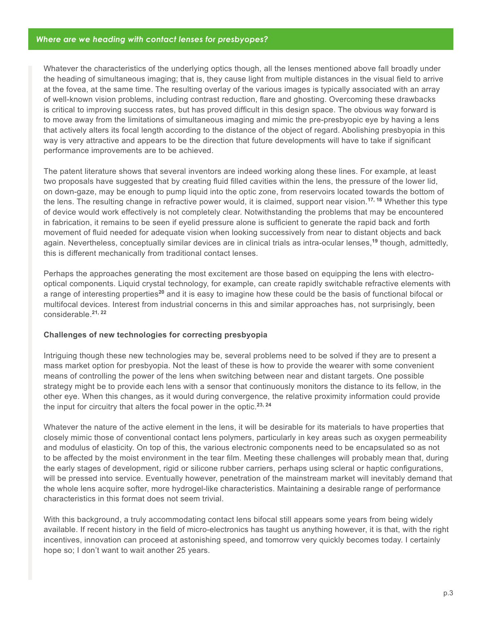# *Where are we heading with contact lenses for presbyopes?*

Whatever the characteristics of the underlying optics though, all the lenses mentioned above fall broadly under the heading of simultaneous imaging; that is, they cause light from multiple distances in the visual field to arrive at the fovea, at the same time. The resulting overlay of the various images is typically associated with an array of well-known vision problems, including contrast reduction, flare and ghosting. Overcoming these drawbacks is critical to improving success rates, but has proved difficult in this design space. The obvious way forward is to move away from the limitations of simultaneous imaging and mimic the pre-presbyopic eye by having a lens that actively alters its focal length according to the distance of the object of regard. Abolishing presbyopia in this way is very attractive and appears to be the direction that future developments will have to take if significant performance improvements are to be achieved.

The patent literature shows that several inventors are indeed working along these lines. For example, at least two proposals have suggested that by creating fluid filled cavities within the lens, the pressure of the lower lid, on down-gaze, may be enough to pump liquid into the optic zone, from reservoirs located towards the bottom of the lens. The resulting change in refractive power would, it is claimed, support near vision.**17, 18** Whether this type of device would work effectively is not completely clear. Notwithstanding the problems that may be encountered in fabrication, it remains to be seen if eyelid pressure alone is sufficient to generate the rapid back and forth movement of fluid needed for adequate vision when looking successively from near to distant objects and back again. Nevertheless, conceptually similar devices are in clinical trials as intra-ocular lenses,**<sup>19</sup>** though, admittedly, this is different mechanically from traditional contact lenses.

Perhaps the approaches generating the most excitement are those based on equipping the lens with electrooptical components. Liquid crystal technology, for example, can create rapidly switchable refractive elements with a range of interesting properties**<sup>20</sup>** and it is easy to imagine how these could be the basis of functional bifocal or multifocal devices. Interest from industrial concerns in this and similar approaches has, not surprisingly, been considerable.**21, 22**

### **Challenges of new technologies for correcting presbyopia**

Intriguing though these new technologies may be, several problems need to be solved if they are to present a mass market option for presbyopia. Not the least of these is how to provide the wearer with some convenient means of controlling the power of the lens when switching between near and distant targets. One possible strategy might be to provide each lens with a sensor that continuously monitors the distance to its fellow, in the other eye. When this changes, as it would during convergence, the relative proximity information could provide the input for circuitry that alters the focal power in the optic.**23, 24**

Whatever the nature of the active element in the lens, it will be desirable for its materials to have properties that closely mimic those of conventional contact lens polymers, particularly in key areas such as oxygen permeability and modulus of elasticity. On top of this, the various electronic components need to be encapsulated so as not to be affected by the moist environment in the tear film. Meeting these challenges will probably mean that, during the early stages of development, rigid or silicone rubber carriers, perhaps using scleral or haptic configurations, will be pressed into service. Eventually however, penetration of the mainstream market will inevitably demand that the whole lens acquire softer, more hydrogel-like characteristics. Maintaining a desirable range of performance characteristics in this format does not seem trivial.

With this background, a truly accommodating contact lens bifocal still appears some years from being widely available. If recent history in the field of micro-electronics has taught us anything however, it is that, with the right incentives, innovation can proceed at astonishing speed, and tomorrow very quickly becomes today. I certainly hope so; I don't want to wait another 25 years.